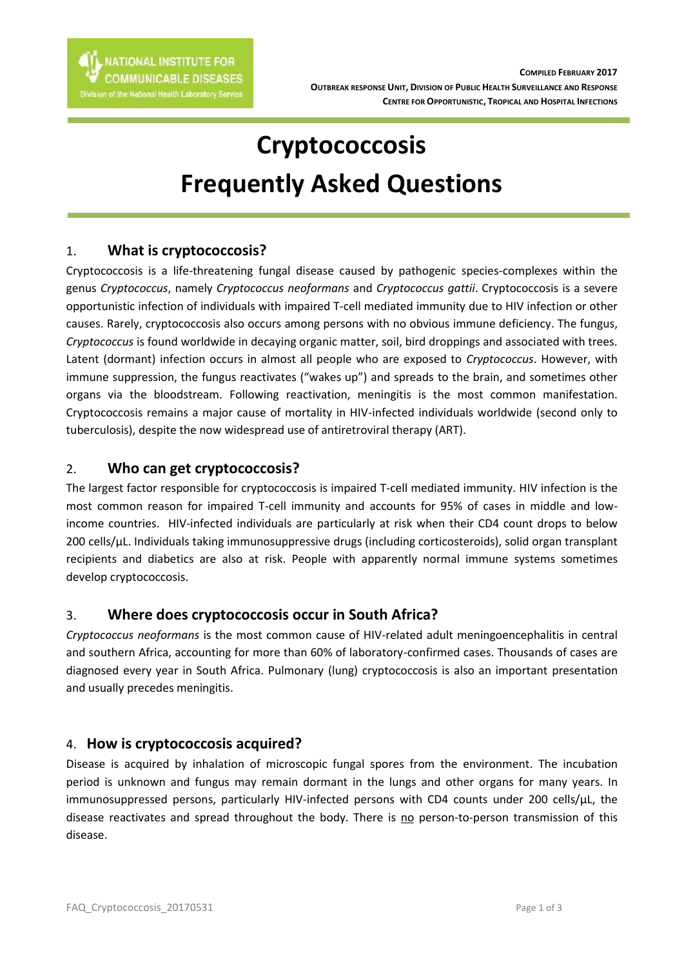

# **Cryptococcosis Frequently Asked Questions**

## 1. **What is cryptococcosis?**

Cryptococcosis is a life-threatening fungal disease caused by pathogenic species-complexes within the genus *Cryptococcus*, namely *Cryptococcus neoformans* and *Cryptococcus gattii*. Cryptococcosis is a severe opportunistic infection of individuals with impaired T-cell mediated immunity due to HIV infection or other causes. Rarely, cryptococcosis also occurs among persons with no obvious immune deficiency. The fungus, *Cryptococcus* is found worldwide in decaying organic matter, soil, bird droppings and associated with trees. Latent (dormant) infection occurs in almost all people who are exposed to *Cryptococcus*. However, with immune suppression, the fungus reactivates ("wakes up") and spreads to the brain, and sometimes other organs via the bloodstream. Following reactivation, meningitis is the most common manifestation. Cryptococcosis remains a major cause of mortality in HIV-infected individuals worldwide (second only to tuberculosis), despite the now widespread use of antiretroviral therapy (ART).

## 2. **Who can get cryptococcosis?**

The largest factor responsible for cryptococcosis is impaired T-cell mediated immunity. HIV infection is the most common reason for impaired T-cell immunity and accounts for 95% of cases in middle and lowincome countries. HIV-infected individuals are particularly at risk when their CD4 count drops to below 200 cells/µL. Individuals taking immunosuppressive drugs (including corticosteroids), solid organ transplant recipients and diabetics are also at risk. People with apparently normal immune systems sometimes develop cryptococcosis.

# 3. **Where does cryptococcosis occur in South Africa?**

*Cryptococcus neoformans* is the most common cause of HIV-related adult meningoencephalitis in central and southern Africa, accounting for more than 60% of laboratory-confirmed cases. Thousands of cases are diagnosed every year in South Africa. Pulmonary (lung) cryptococcosis is also an important presentation and usually precedes meningitis.

#### 4. **How is cryptococcosis acquired?**

Disease is acquired by inhalation of microscopic fungal spores from the environment. The incubation period is unknown and fungus may remain dormant in the lungs and other organs for many years. In immunosuppressed persons, particularly HIV-infected persons with CD4 counts under 200 cells/µL, the disease reactivates and spread throughout the body. There is no person-to-person transmission of this disease.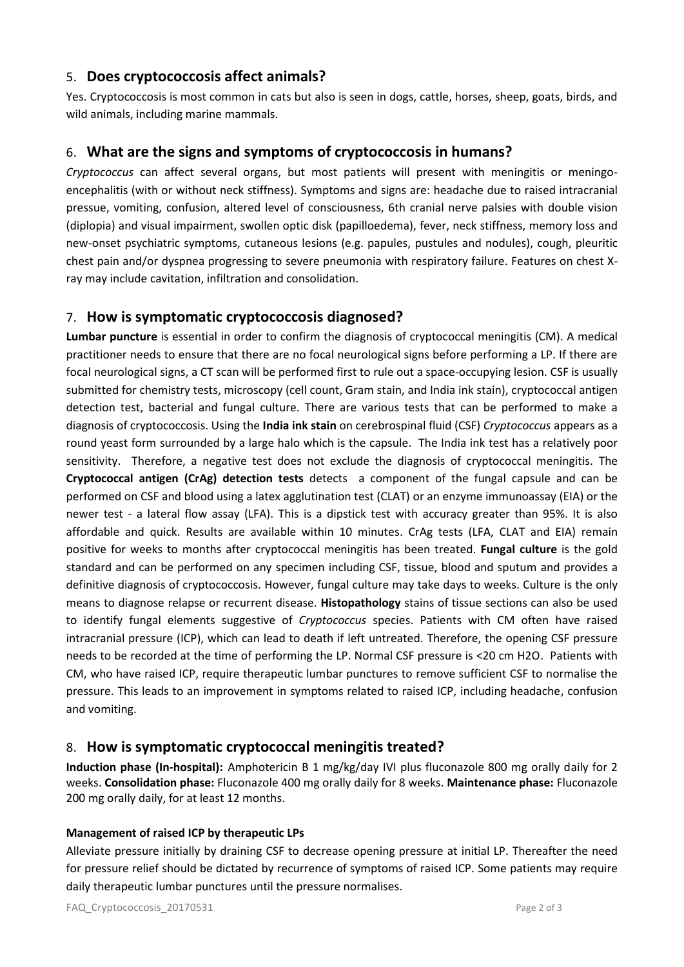## 5. **Does cryptococcosis affect animals?**

Yes. Cryptococcosis is most common in cats but also is seen in dogs, cattle, horses, sheep, goats, birds, and wild animals, including marine mammals.

# 6. **What are the signs and symptoms of cryptococcosis in humans?**

*Cryptococcus* can affect several organs, but most patients will present with meningitis or meningoencephalitis (with or without neck stiffness). Symptoms and signs are: headache due to raised intracranial pressue, vomiting, confusion, altered level of consciousness, 6th cranial nerve palsies with double vision (diplopia) and visual impairment, swollen optic disk (papilloedema), fever, neck stiffness, memory loss and new-onset psychiatric symptoms, cutaneous lesions (e.g. papules, pustules and nodules), cough, pleuritic chest pain and/or dyspnea progressing to severe pneumonia with respiratory failure. Features on chest Xray may include cavitation, infiltration and consolidation.

# 7. **How is symptomatic cryptococcosis diagnosed?**

**Lumbar puncture** is essential in order to confirm the diagnosis of cryptococcal meningitis (CM). A medical practitioner needs to ensure that there are no focal neurological signs before performing a LP. If there are focal neurological signs, a CT scan will be performed first to rule out a space-occupying lesion. CSF is usually submitted for chemistry tests, microscopy (cell count, Gram stain, and India ink stain), cryptococcal antigen detection test, bacterial and fungal culture. There are various tests that can be performed to make a diagnosis of cryptococcosis. Using the **India ink stain** on cerebrospinal fluid (CSF) *Cryptococcus* appears as a round yeast form surrounded by a large halo which is the capsule. The India ink test has a relatively poor sensitivity. Therefore, a negative test does not exclude the diagnosis of cryptococcal meningitis. The **Cryptococcal antigen (CrAg) detection tests** detects a component of the fungal capsule and can be performed on CSF and blood using a latex agglutination test (CLAT) or an enzyme immunoassay (EIA) or the newer test - a lateral flow assay (LFA). This is a dipstick test with accuracy greater than 95%. It is also affordable and quick. Results are available within 10 minutes. CrAg tests (LFA, CLAT and EIA) remain positive for weeks to months after cryptococcal meningitis has been treated. **Fungal culture** is the gold standard and can be performed on any specimen including CSF, tissue, blood and sputum and provides a definitive diagnosis of cryptococcosis. However, fungal culture may take days to weeks. Culture is the only means to diagnose relapse or recurrent disease. **Histopathology** stains of tissue sections can also be used to identify fungal elements suggestive of *Cryptococcus* species. Patients with CM often have raised intracranial pressure (ICP), which can lead to death if left untreated. Therefore, the opening CSF pressure needs to be recorded at the time of performing the LP. Normal CSF pressure is <20 cm H2O. Patients with CM, who have raised ICP, require therapeutic lumbar punctures to remove sufficient CSF to normalise the pressure. This leads to an improvement in symptoms related to raised ICP, including headache, confusion and vomiting.

# 8. **How is symptomatic cryptococcal meningitis treated?**

**Induction phase (In-hospital):** Amphotericin B 1 mg/kg/day IVI plus fluconazole 800 mg orally daily for 2 weeks. **Consolidation phase:** Fluconazole 400 mg orally daily for 8 weeks. **Maintenance phase:** Fluconazole 200 mg orally daily, for at least 12 months.

#### **Management of raised ICP by therapeutic LPs**

Alleviate pressure initially by draining CSF to decrease opening pressure at initial LP. Thereafter the need for pressure relief should be dictated by recurrence of symptoms of raised ICP. Some patients may require daily therapeutic lumbar punctures until the pressure normalises.